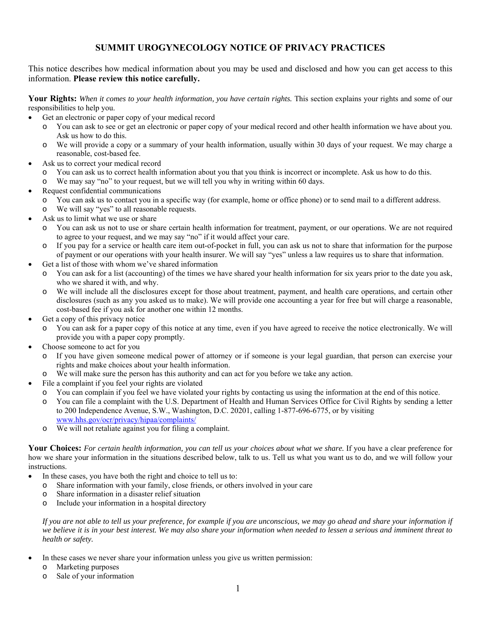# **SUMMIT UROGYNECOLOGY NOTICE OF PRIVACY PRACTICES**

This notice describes how medical information about you may be used and disclosed and how you can get access to this information. **Please review this notice carefully.**

**Your Rights:** *When it comes to your health information, you have certain rights.* This section explains your rights and some of our responsibilities to help you.

- Get an electronic or paper copy of your medical record
	- o You can ask to see or get an electronic or paper copy of your medical record and other health information we have about you. Ask us how to do this.
	- o We will provide a copy or a summary of your health information, usually within 30 days of your request. We may charge a reasonable, cost-based fee.
- Ask us to correct your medical record
	- o You can ask us to correct health information about you that you think is incorrect or incomplete. Ask us how to do this.
	- o We may say "no" to your request, but we will tell you why in writing within 60 days.
- Request confidential communications
- o You can ask us to contact you in a specific way (for example, home or office phone) or to send mail to a different address. o We will say "yes" to all reasonable requests.
- Ask us to limit what we use or share
	- o You can ask us not to use or share certain health information for treatment, payment, or our operations. We are not required to agree to your request, and we may say "no" if it would affect your care.
	- o If you pay for a service or health care item out-of-pocket in full, you can ask us not to share that information for the purpose of payment or our operations with your health insurer. We will say "yes" unless a law requires us to share that information.
- Get a list of those with whom we've shared information
	- o You can ask for a list (accounting) of the times we have shared your health information for six years prior to the date you ask, who we shared it with, and why.
	- o We will include all the disclosures except for those about treatment, payment, and health care operations, and certain other disclosures (such as any you asked us to make). We will provide one accounting a year for free but will charge a reasonable, cost-based fee if you ask for another one within 12 months.
- Get a copy of this privacy notice
	- o You can ask for a paper copy of this notice at any time, even if you have agreed to receive the notice electronically. We will provide you with a paper copy promptly.
- Choose someone to act for you
	- If you have given someone medical power of attorney or if someone is your legal guardian, that person can exercise your rights and make choices about your health information.
	- o We will make sure the person has this authority and can act for you before we take any action.
- File a complaint if you feel your rights are violated
	- o You can complain if you feel we have violated your rights by contacting us using the information at the end of this notice.
	- o You can file a complaint with the U.S. Department of Health and Human Services Office for Civil Rights by sending a letter to 200 Independence Avenue, S.W., Washington, D.C. 20201, calling 1-877-696-6775, or by visiting www.hhs.gov/ocr/privacy/hipaa/complaints/
	- We will not retaliate against you for filing a complaint.

**Your Choices:** *For certain health information, you can tell us your choices about what we share.* If you have a clear preference for how we share your information in the situations described below, talk to us. Tell us what you want us to do, and we will follow your instructions.

- In these cases, you have both the right and choice to tell us to:
	- o Share information with your family, close friends, or others involved in your care
	- o Share information in a disaster relief situation
	- o Include your information in a hospital directory

*If you are not able to tell us your preference, for example if you are unconscious, we may go ahead and share your information if we believe it is in your best interest. We may also share your information when needed to lessen a serious and imminent threat to health or safety.* 

- In these cases we never share your information unless you give us written permission:
	- o Marketing purposes
	- o Sale of your information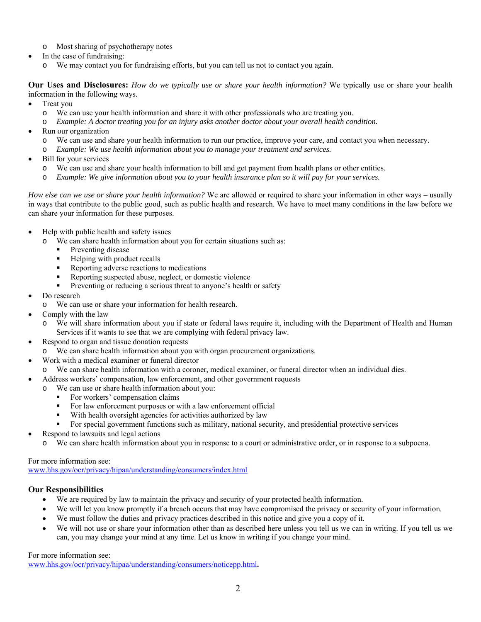- o Most sharing of psychotherapy notes
- In the case of fundraising:
	- o We may contact you for fundraising efforts, but you can tell us not to contact you again.

**Our Uses and Disclosures:** *How do we typically use or share your health information?* We typically use or share your health information in the following ways.

- Treat you
	- o We can use your health information and share it with other professionals who are treating you.
	- o *Example: A doctor treating you for an injury asks another doctor about your overall health condition.*
- Run our organization
	- o We can use and share your health information to run our practice, improve your care, and contact you when necessary.
	- o *Example: We use health information about you to manage your treatment and services.*
- Bill for your services
	- o We can use and share your health information to bill and get payment from health plans or other entities.
	- o *Example: We give information about you to your health insurance plan so it will pay for your services.*

*How else can we use or share your health information?* We are allowed or required to share your information in other ways – usually in ways that contribute to the public good, such as public health and research. We have to meet many conditions in the law before we can share your information for these purposes.

- Help with public health and safety issues
	- o We can share health information about you for certain situations such as:
		- **Preventing disease**
		- Helping with product recalls
		- Reporting adverse reactions to medications
		- Reporting suspected abuse, neglect, or domestic violence
		- Preventing or reducing a serious threat to anyone's health or safety
- Do research
	- o We can use or share your information for health research.
- Comply with the law
	- We will share information about you if state or federal laws require it, including with the Department of Health and Human Services if it wants to see that we are complying with federal privacy law.
- Respond to organ and tissue donation requests
	- o We can share health information about you with organ procurement organizations.
- Work with a medical examiner or funeral director
- o We can share health information with a coroner, medical examiner, or funeral director when an individual dies.
- Address workers' compensation, law enforcement, and other government requests
	- o We can use or share health information about you:
		- For workers' compensation claims
		- For law enforcement purposes or with a law enforcement official
		- With health oversight agencies for activities authorized by law
		- For special government functions such as military, national security, and presidential protective services
- Respond to lawsuits and legal actions
	- o We can share health information about you in response to a court or administrative order, or in response to a subpoena.

For more information see:

www.hhs.gov/ocr/privacy/hipaa/understanding/consumers/index.html

#### **Our Responsibilities**

- We are required by law to maintain the privacy and security of your protected health information.
- We will let you know promptly if a breach occurs that may have compromised the privacy or security of your information.
- We must follow the duties and privacy practices described in this notice and give you a copy of it.
- We will not use or share your information other than as described here unless you tell us we can in writing. If you tell us we can, you may change your mind at any time. Let us know in writing if you change your mind.

#### For more information see:

www.hhs.gov/ocr/privacy/hipaa/understanding/consumers/noticepp.html**.**